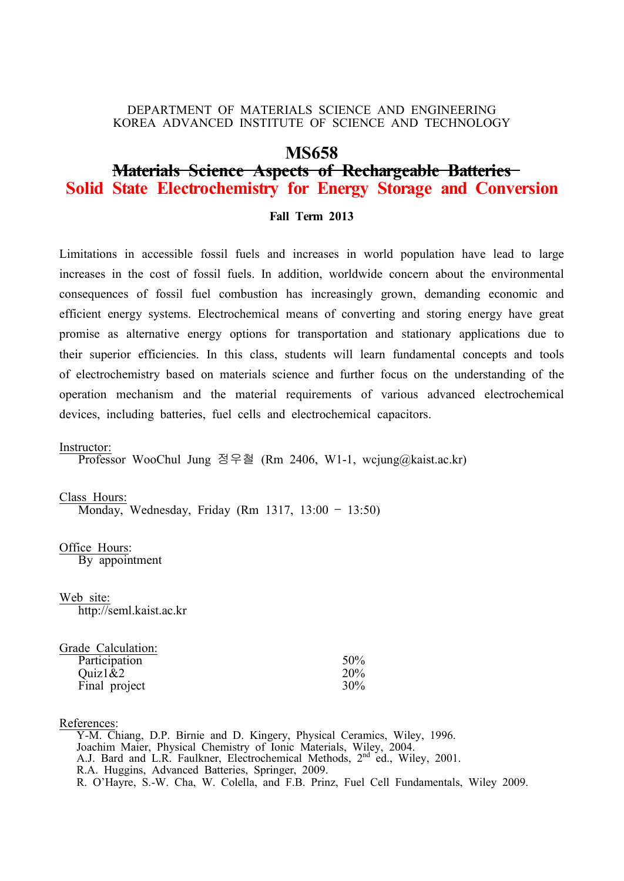## DEPARTMENT OF MATERIALS SCIENCE AND ENGINEERING KOREA ADVANCED INSTITUTE OF SCIENCE AND TECHNOLOGY

## **MS658**

# **Materials Science Aspects of Rechargeable Batteries Solid State Electrochemistry for Energy Storage and Conversion**

## **Fall Term 2013**

Limitations in accessible fossil fuels and increases in world population have lead to large increases in the cost of fossil fuels. In addition, worldwide concern about the environmental consequences of fossil fuel combustion has increasingly grown, demanding economic and efficient energy systems. Electrochemical means of converting and storing energy have great promise as alternative energy options for transportation and stationary applications due to their superior efficiencies. In this class, students will learn fundamental concepts and tools of electrochemistry based on materials science and further focus on the understanding of the operation mechanism and the material requirements of various advanced electrochemical devices, including batteries, fuel cells and electrochemical capacitors.

#### Instructor:

Professor WooChul Jung 정우철 (Rm 2406, W1-1, wcjung@kaist.ac.kr)

#### Class Hours:

Monday, Wednesday, Friday (Rm 1317, 13:00 – 13:50)

Office Hours: By appointment

Web site: http://seml.kaist.ac.kr

| Grade Calculation: |            |
|--------------------|------------|
| Participation      | 50%        |
| Quiz1&2            | <b>20%</b> |
| Final project      | 30%        |

### References:

 Y-M. Chiang, D.P. Birnie and D. Kingery, Physical Ceramics, Wiley, 1996. Joachim Maier, Physical Chemistry of Ionic Materials, Wiley, 2004. A.J. Bard and L.R. Faulkner, Electrochemical Methods, 2<sup>nd</sup> ed., Wiley, 2001. R.A. Huggins, Advanced Batteries, Springer, 2009. R. O'Hayre, S.-W. Cha, W. Colella, and F.B. Prinz, Fuel Cell Fundamentals, Wiley 2009.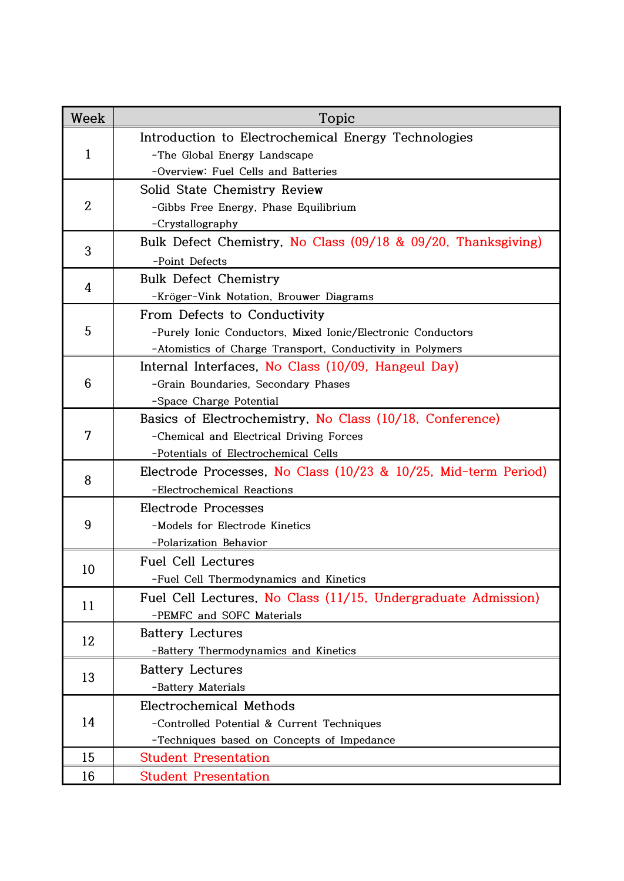| Week                                                | Topic                                                          |
|-----------------------------------------------------|----------------------------------------------------------------|
| Introduction to Electrochemical Energy Technologies |                                                                |
| $\mathbf{1}$                                        | -The Global Energy Landscape                                   |
|                                                     | -Overview: Fuel Cells and Batteries                            |
| $\overline{2}$                                      | Solid State Chemistry Review                                   |
|                                                     | -Gibbs Free Energy, Phase Equilibrium                          |
|                                                     | -Crystallography                                               |
| 3                                                   | Bulk Defect Chemistry, No Class (09/18 & 09/20, Thanksgiving)  |
|                                                     | -Point Defects                                                 |
| 4                                                   | <b>Bulk Defect Chemistry</b>                                   |
|                                                     | -Kröger-Vink Notation, Brouwer Diagrams                        |
|                                                     | From Defects to Conductivity                                   |
| 5                                                   | -Purely Ionic Conductors, Mixed Ionic/Electronic Conductors    |
|                                                     | -Atomistics of Charge Transport, Conductivity in Polymers      |
| 6                                                   | Internal Interfaces, No Class (10/09, Hangeul Day)             |
|                                                     | -Grain Boundaries, Secondary Phases                            |
|                                                     | -Space Charge Potential                                        |
| 7                                                   | Basics of Electrochemistry, No Class (10/18, Conference)       |
|                                                     | -Chemical and Electrical Driving Forces                        |
|                                                     | -Potentials of Electrochemical Cells                           |
| 8                                                   | Electrode Processes, No Class (10/23 & 10/25, Mid-term Period) |
|                                                     | -Electrochemical Reactions                                     |
| 9                                                   | Electrode Processes                                            |
|                                                     | -Models for Electrode Kinetics                                 |
|                                                     | -Polarization Behavior                                         |
| 10                                                  | <b>Fuel Cell Lectures</b>                                      |
|                                                     | -Fuel Cell Thermodynamics and Kinetics                         |
| 11                                                  | Fuel Cell Lectures, No Class (11/15, Undergraduate Admission)  |
|                                                     | -PEMFC and SOFC Materials                                      |
| 12                                                  | <b>Battery Lectures</b>                                        |
|                                                     | -Battery Thermodynamics and Kinetics                           |
| 13                                                  | <b>Battery Lectures</b>                                        |
|                                                     | -Battery Materials                                             |
| 14                                                  | Electrochemical Methods                                        |
|                                                     | -Controlled Potential & Current Techniques                     |
|                                                     | -Techniques based on Concepts of Impedance                     |
| 15                                                  | <b>Student Presentation</b>                                    |
| 16                                                  | <b>Student Presentation</b>                                    |